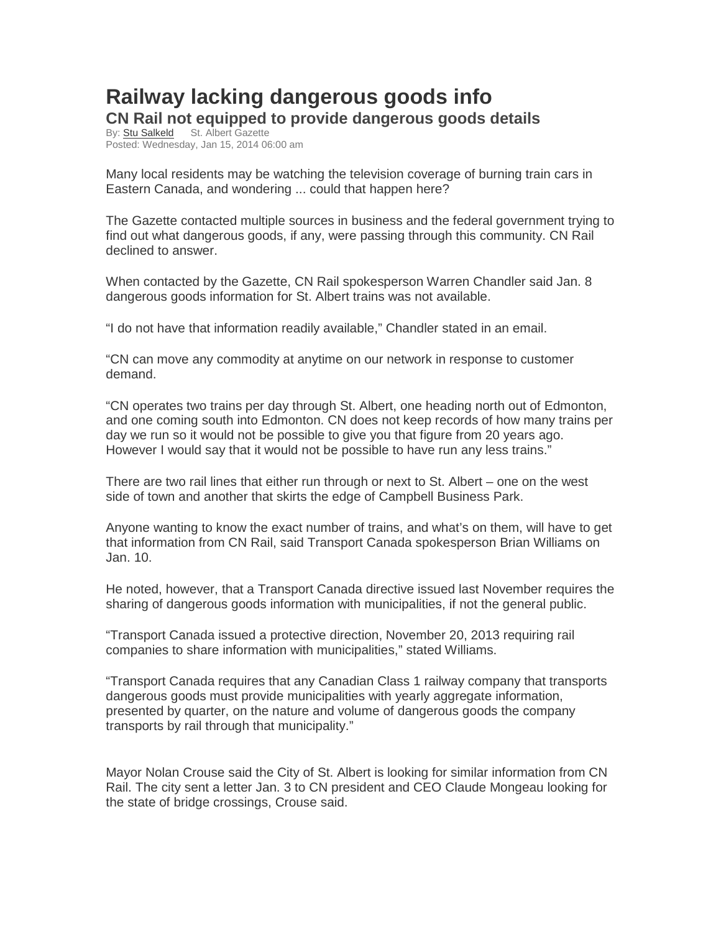## **Railway lacking dangerous goods info CN Rail not equipped to provide dangerous goods details**

By: Stu Salkeld St. Albert Gazette Posted: Wednesday, Jan 15, 2014 06:00 am

Many local residents may be watching the television coverage of burning train cars in Eastern Canada, and wondering ... could that happen here?

The Gazette contacted multiple sources in business and the federal government trying to find out what dangerous goods, if any, were passing through this community. CN Rail declined to answer.

When contacted by the Gazette, CN Rail spokesperson Warren Chandler said Jan. 8 dangerous goods information for St. Albert trains was not available.

"I do not have that information readily available," Chandler stated in an email.

"CN can move any commodity at anytime on our network in response to customer demand.

"CN operates two trains per day through St. Albert, one heading north out of Edmonton, and one coming south into Edmonton. CN does not keep records of how many trains per day we run so it would not be possible to give you that figure from 20 years ago. However I would say that it would not be possible to have run any less trains."

There are two rail lines that either run through or next to St. Albert – one on the west side of town and another that skirts the edge of Campbell Business Park.

Anyone wanting to know the exact number of trains, and what's on them, will have to get that information from CN Rail, said Transport Canada spokesperson Brian Williams on Jan. 10.

He noted, however, that a Transport Canada directive issued last November requires the sharing of dangerous goods information with municipalities, if not the general public.

"Transport Canada issued a protective direction, November 20, 2013 requiring rail companies to share information with municipalities," stated Williams.

"Transport Canada requires that any Canadian Class 1 railway company that transports dangerous goods must provide municipalities with yearly aggregate information, presented by quarter, on the nature and volume of dangerous goods the company transports by rail through that municipality."

Mayor Nolan Crouse said the City of St. Albert is looking for similar information from CN Rail. The city sent a letter Jan. 3 to CN president and CEO Claude Mongeau looking for the state of bridge crossings, Crouse said.